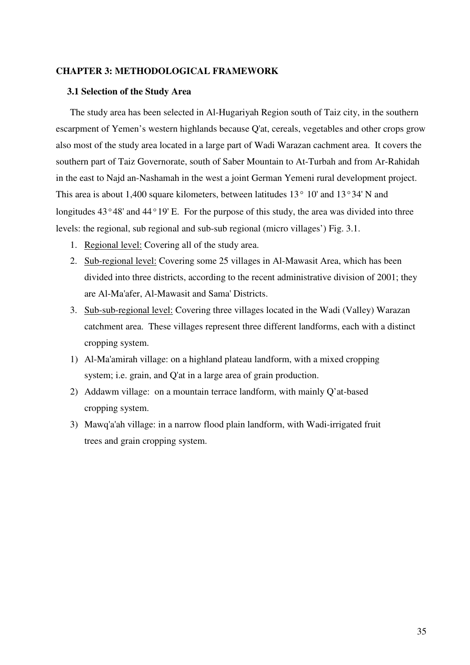# CHAPTER 3: METHODOLOGICAL FRAMEWORK

### 3.1 Selection of the Study Area

The study area has been selected in Al-Hugariyah Region south of Taiz city, in the southern escarpment of Yemen's western highlands because Q'at, cereals, vegetables and other crops grow also most of the study area located in a large part of Wadi Warazan cachment area. It covers the southern part of Taiz Governorate, south of Saber Mountain to At-Turbah and from Ar-Rahidah in the east to Najd an-Nashamah in the west a joint German Yemeni rural development project. This area is about 1,400 square kilometers, between latitudes  $13^{\circ}$  10' and  $13^{\circ}34'$  N and longitudes 43°48' and 44°19' E. For the purpose of this study, the area was divided into three levels: the regional, sub regional and sub-sub regional (micro villages') Fig. 3.1.

- 1. Regional level: Covering all of the study area.
- 2. Sub-regional level: Covering some 25 villages in Al-Mawasit Area, which has been divided into three districts, according to the recent administrative division of 2001; they are Al-Ma'afer, Al-Mawasit and Sama' Districts.
- 3. Sub-sub-regional level: Covering three villages located in the Wadi (Valley) Warazan catchment area. These villages represent three different landforms, each with a distinct cropping system.
- 1) Al-Ma'amirah village: on a highland plateau landform, with a mixed cropping system; i.e. grain, and Q'at in a large area of grain production.
- 2) Addawm village: on a mountain terrace landform, with mainly Q'at-based cropping system.
- 3) Mawq'a'ah village: in a narrow flood plain landform, with Wadi-irrigated fruit trees and grain cropping system.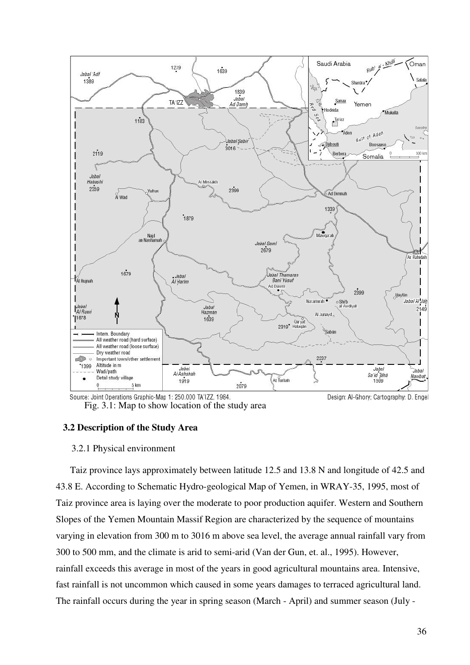

Source: Joint Operations Graphic-Map 1: 250.000 TA'IZZ, 1984. Design: Al-Ghory; Cartography: D. Engel Fig. 3.1: Map to show location of the study area

### 3.2 Description of the Study Area

### 3.2.1 Physical environment

Taiz province lays approximately between latitude 12.5 and 13.8 N and longitude of 42.5 and 43.8 E. According to Schematic Hydro-geological Map of Yemen, in WRAY-35, 1995, most of Taiz province area is laying over the moderate to poor production aquifer. Western and Southern Slopes of the Yemen Mountain Massif Region are characterized by the sequence of mountains varying in elevation from 300 m to 3016 m above sea level, the average annual rainfall vary from 300 to 500 mm, and the climate is arid to semi-arid (Van der Gun, et. al., 1995). However, rainfall exceeds this average in most of the years in good agricultural mountains area. Intensive, fast rainfall is not uncommon which caused in some years damages to terraced agricultural land. The rainfall occurs during the year in spring season (March - April) and summer season (July -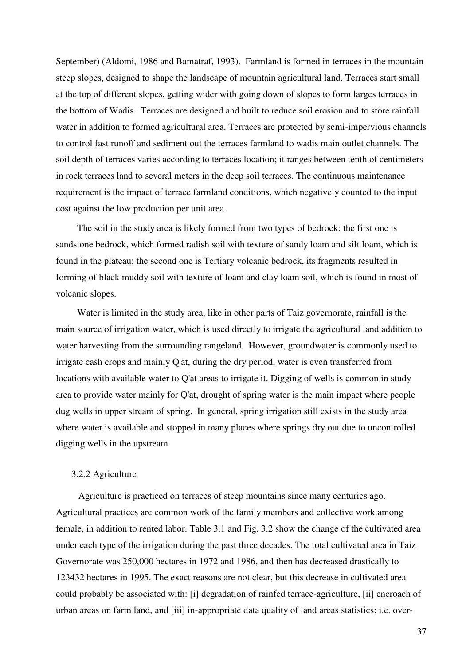September) (Aldomi, 1986 and Bamatraf, 1993). Farmland is formed in terraces in the mountain steep slopes, designed to shape the landscape of mountain agricultural land. Terraces start small at the top of different slopes, getting wider with going down of slopes to form larges terraces in the bottom of Wadis. Terraces are designed and built to reduce soil erosion and to store rainfall water in addition to formed agricultural area. Terraces are protected by semi-impervious channels to control fast runoff and sediment out the terraces farmland to wadis main outlet channels. The soil depth of terraces varies according to terraces location; it ranges between tenth of centimeters in rock terraces land to several meters in the deep soil terraces. The continuous maintenance requirement is the impact of terrace farmland conditions, which negatively counted to the input cost against the low production per unit area.

The soil in the study area is likely formed from two types of bedrock: the first one is sandstone bedrock, which formed radish soil with texture of sandy loam and silt loam, which is found in the plateau; the second one is Tertiary volcanic bedrock, its fragments resulted in forming of black muddy soil with texture of loam and clay loam soil, which is found in most of volcanic slopes.

Water is limited in the study area, like in other parts of Taiz governorate, rainfall is the main source of irrigation water, which is used directly to irrigate the agricultural land addition to water harvesting from the surrounding rangeland. However, groundwater is commonly used to irrigate cash crops and mainly Q'at, during the dry period, water is even transferred from locations with available water to Q'at areas to irrigate it. Digging of wells is common in study area to provide water mainly for Q'at, drought of spring water is the main impact where people dug wells in upper stream of spring. In general, spring irrigation still exists in the study area where water is available and stopped in many places where springs dry out due to uncontrolled digging wells in the upstream.

### 3.2.2 Agriculture

Agriculture is practiced on terraces of steep mountains since many centuries ago. Agricultural practices are common work of the family members and collective work among female, in addition to rented labor. Table 3.1 and Fig. 3.2 show the change of the cultivated area under each type of the irrigation during the past three decades. The total cultivated area in Taiz Governorate was 250,000 hectares in 1972 and 1986, and then has decreased drastically to 123432 hectares in 1995. The exact reasons are not clear, but this decrease in cultivated area could probably be associated with: [i] degradation of rainfed terrace-agriculture, [ii] encroach of urban areas on farm land, and [iii] in-appropriate data quality of land areas statistics; i.e. over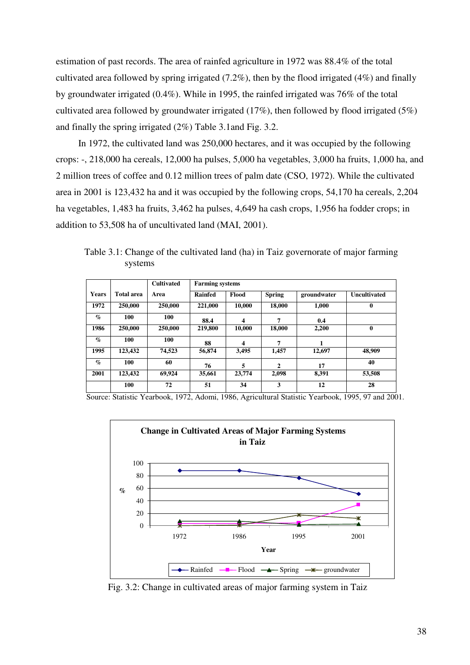estimation of past records. The area of rainfed agriculture in 1972 was 88.4% of the total cultivated area followed by spring irrigated  $(7.2\%)$ , then by the flood irrigated  $(4\%)$  and finally by groundwater irrigated (0.4%). While in 1995, the rainfed irrigated was 76% of the total cultivated area followed by groundwater irrigated (17%), then followed by flood irrigated (5%) and finally the spring irrigated (2%) Table 3.1and Fig. 3.2.

In 1972, the cultivated land was 250,000 hectares, and it was occupied by the following crops: -, 218,000 ha cereals, 12,000 ha pulses, 5,000 ha vegetables, 3,000 ha fruits, 1,000 ha, and 2 million trees of coffee and 0.12 million trees of palm date (CSO, 1972). While the cultivated area in 2001 is 123,432 ha and it was occupied by the following crops, 54,170 ha cereals, 2,204 ha vegetables, 1,483 ha fruits, 3,462 ha pulses, 4,649 ha cash crops, 1,956 ha fodder crops; in addition to 53,508 ha of uncultivated land (MAI, 2001).

|                 |                   | <b>Cultivated</b> | <b>Farming systems</b> |        |               |             |                     |  |  |  |  |
|-----------------|-------------------|-------------------|------------------------|--------|---------------|-------------|---------------------|--|--|--|--|
| <b>Years</b>    | <b>Total area</b> | Area              | <b>Rainfed</b>         | Flood  | <b>Spring</b> | groundwater | <b>Uncultivated</b> |  |  |  |  |
| 1972            | 250,000           | 250,000           | 221,000                | 10,000 | 18,000        | 1,000       | $\bf{0}$            |  |  |  |  |
| $\mathcal{O}_0$ | 100               | 100               | 88.4                   | 4      | 7             | 0.4         |                     |  |  |  |  |
| 1986            | 250,000           | 250,000           | 219,800                | 10,000 | 18,000        | 2,200       | $\mathbf{0}$        |  |  |  |  |
| $\mathcal{O}_0$ | 100               | 100               | 88                     | 4      | 7             |             |                     |  |  |  |  |
| 1995            | 123,432           | 74,523            | 56,874                 | 3,495  | 1,457         | 12,697      | 48,909              |  |  |  |  |
| $\mathcal{O}_0$ | 100               | 60                | 76                     | 5      | $\mathbf{2}$  | 17          | 40                  |  |  |  |  |
| 2001            | 123,432           | 69,924            | 35,661                 | 23,774 | 2,098         | 8,391       | 53,508              |  |  |  |  |

Table 3.1: Change of the cultivated land (ha) in Taiz governorate of major farming systems

Source: Statistic Yearbook, 1972, Adomi, 1986, Agricultural Statistic Yearbook, 1995, 97 and 2001.

 $100$  72 51 34 3 12 28



Fig. 3.2: Change in cultivated areas of major farming system in Taiz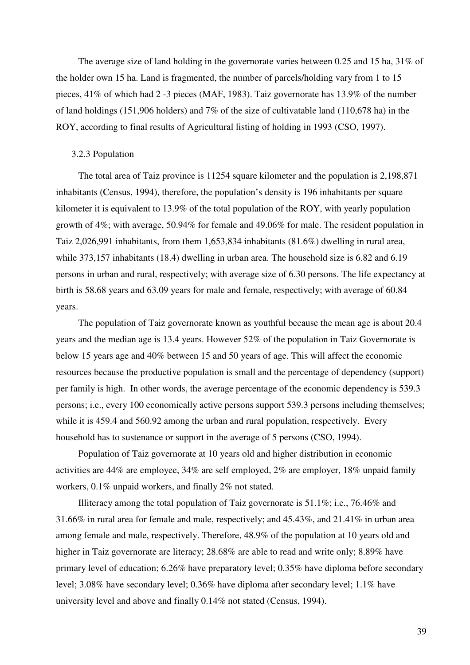The average size of land holding in the governorate varies between 0.25 and 15 ha, 31% of the holder own 15 ha. Land is fragmented, the number of parcels/holding vary from 1 to 15 pieces, 41% of which had 2 -3 pieces (MAF, 1983). Taiz governorate has 13.9% of the number of land holdings (151,906 holders) and 7% of the size of cultivatable land (110,678 ha) in the ROY, according to final results of Agricultural listing of holding in 1993 (CSO, 1997).

### 3.2.3 Population

The total area of Taiz province is 11254 square kilometer and the population is 2,198,871 inhabitants (Census, 1994), therefore, the population's density is 196 inhabitants per square kilometer it is equivalent to 13.9% of the total population of the ROY, with yearly population growth of 4%; with average, 50.94% for female and 49.06% for male. The resident population in Taiz 2,026,991 inhabitants, from them 1,653,834 inhabitants (81.6%) dwelling in rural area, while 373,157 inhabitants (18.4) dwelling in urban area. The household size is 6.82 and 6.19 persons in urban and rural, respectively; with average size of 6.30 persons. The life expectancy at birth is 58.68 years and 63.09 years for male and female, respectively; with average of 60.84 years.

The population of Taiz governorate known as youthful because the mean age is about 20.4 years and the median age is 13.4 years. However 52% of the population in Taiz Governorate is below 15 years age and 40% between 15 and 50 years of age. This will affect the economic resources because the productive population is small and the percentage of dependency (support) per family is high. In other words, the average percentage of the economic dependency is 539.3 persons; i.e., every 100 economically active persons support 539.3 persons including themselves; while it is 459.4 and 560.92 among the urban and rural population, respectively. Every household has to sustenance or support in the average of 5 persons (CSO, 1994).

Population of Taiz governorate at 10 years old and higher distribution in economic activities are 44% are employee, 34% are self employed, 2% are employer, 18% unpaid family workers, 0.1% unpaid workers, and finally 2% not stated.

Illiteracy among the total population of Taiz governorate is 51.1%; i.e., 76.46% and 31.66% in rural area for female and male, respectively; and 45.43%, and 21.41% in urban area among female and male, respectively. Therefore, 48.9% of the population at 10 years old and higher in Taiz governorate are literacy; 28.68% are able to read and write only; 8.89% have primary level of education; 6.26% have preparatory level; 0.35% have diploma before secondary level; 3.08% have secondary level; 0.36% have diploma after secondary level; 1.1% have university level and above and finally 0.14% not stated (Census, 1994).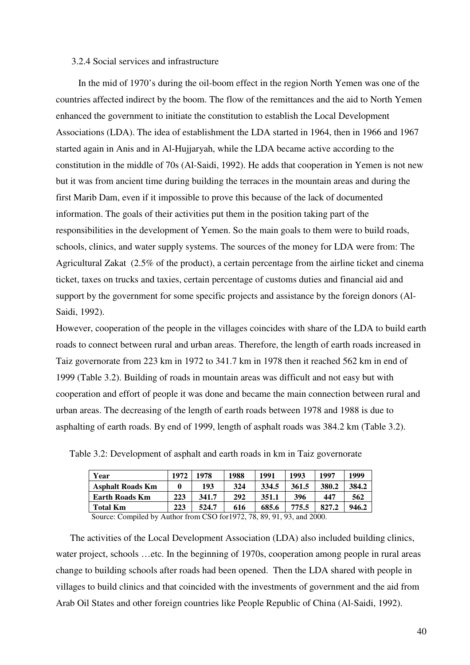# 3.2.4 Social services and infrastructure

In the mid of 1970's during the oil-boom effect in the region North Yemen was one of the countries affected indirect by the boom. The flow of the remittances and the aid to North Yemen enhanced the government to initiate the constitution to establish the Local Development Associations (LDA). The idea of establishment the LDA started in 1964, then in 1966 and 1967 started again in Anis and in Al-Hujjaryah, while the LDA became active according to the constitution in the middle of 70s (Al-Saidi, 1992). He adds that cooperation in Yemen is not new but it was from ancient time during building the terraces in the mountain areas and during the first Marib Dam, even if it impossible to prove this because of the lack of documented information. The goals of their activities put them in the position taking part of the responsibilities in the development of Yemen. So the main goals to them were to build roads, schools, clinics, and water supply systems. The sources of the money for LDA were from: The Agricultural Zakat (2.5% of the product), a certain percentage from the airline ticket and cinema ticket, taxes on trucks and taxies, certain percentage of customs duties and financial aid and support by the government for some specific projects and assistance by the foreign donors (Al-Saidi, 1992).

However, cooperation of the people in the villages coincides with share of the LDA to build earth roads to connect between rural and urban areas. Therefore, the length of earth roads increased in Taiz governorate from 223 km in 1972 to 341.7 km in 1978 then it reached 562 km in end of 1999 (Table 3.2). Building of roads in mountain areas was difficult and not easy but with cooperation and effort of people it was done and became the main connection between rural and urban areas. The decreasing of the length of earth roads between 1978 and 1988 is due to asphalting of earth roads. By end of 1999, length of asphalt roads was 384.2 km (Table 3.2).

| Year                    | 1972 | 1978  | 1988 | 1991  | 1993  | 1997  | 1999  |
|-------------------------|------|-------|------|-------|-------|-------|-------|
| <b>Asphalt Roads Km</b> |      | 193   | 324  | 334.5 | 361.5 | 380.2 | 384.2 |
| <b>Earth Roads Km</b>   | 223  | 341.7 | 292  | 351.1 | 396   | 447   | 562   |
| <b>Total Km</b>         | 223  | 524.7 | 616  | 685.6 | 775.5 | 827.2 | 946.2 |

Table 3.2: Development of asphalt and earth roads in km in Taiz governorate

Source: Compiled by Author from CSO for1972, 78, 89, 91, 93, and 2000.

The activities of the Local Development Association (LDA) also included building clinics, water project, schools …etc. In the beginning of 1970s, cooperation among people in rural areas change to building schools after roads had been opened. Then the LDA shared with people in villages to build clinics and that coincided with the investments of government and the aid from Arab Oil States and other foreign countries like People Republic of China (Al-Saidi, 1992).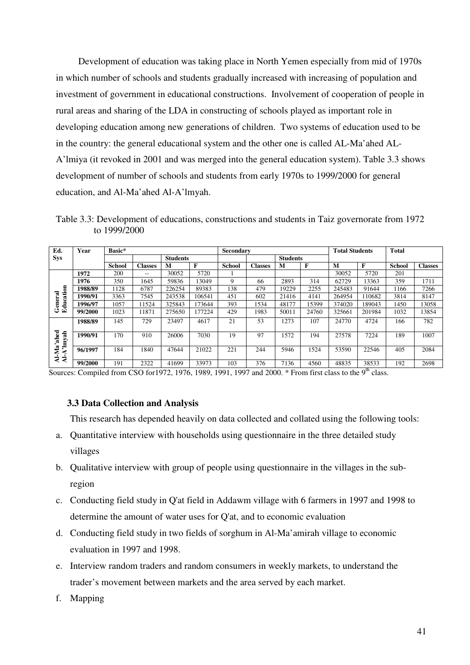Development of education was taking place in North Yemen especially from mid of 1970s in which number of schools and students gradually increased with increasing of population and investment of government in educational constructions. Involvement of cooperation of people in rural areas and sharing of the LDA in constructing of schools played as important role in developing education among new generations of children. Two systems of education used to be in the country: the general educational system and the other one is called AL-Ma'ahed AL-A'lmiya (it revoked in 2001 and was merged into the general education system). Table 3.3 shows development of number of schools and students from early 1970s to 1999/2000 for general education, and Al-Ma'ahed Al-A'lmyah.

Table 3.3: Development of educations, constructions and students in Taiz governorate from 1972 to 1999/2000

| Ed.                                     | Year    | Basic*          |                |        |        | Secondary     |                 |       |       | <b>Total Students</b> |             | <b>Total</b>  |                |
|-----------------------------------------|---------|-----------------|----------------|--------|--------|---------------|-----------------|-------|-------|-----------------------|-------------|---------------|----------------|
| <b>Sys</b>                              |         | <b>Students</b> |                |        |        |               | <b>Students</b> |       |       |                       |             |               |                |
|                                         |         | <b>School</b>   | <b>Classes</b> | M      | F      | <b>School</b> | <b>Classes</b>  | M     | F     | M                     | $\mathbf F$ | <b>School</b> | <b>Classes</b> |
| Education<br>General                    | 1972    | 200             | $- -$          | 30052  | 5720   |               |                 |       |       | 30052                 | 5720        | 201           |                |
|                                         | 1976    | 350             | 1645           | 59836  | 13049  | 9             | 66              | 2893  | 314   | 62729                 | 13363       | 359           | 1711           |
|                                         | 1988/89 | 1128            | 6787           | 226254 | 89383  | 138           | 479             | 19229 | 2255  | 245483                | 91644       | 1166          | 7266           |
|                                         | 1990/91 | 3363            | 7545           | 243538 | 106541 | 451           | 602             | 21416 | 4141  | 264954                | 110682      | 3814          | 8147           |
|                                         | 1996/97 | 1057            | 11524          | 325843 | 173644 | 393           | 1534            | 48177 | 15399 | 374020                | 189043      | 1450          | 13058          |
|                                         | 99/2000 | 1023            | 11871          | 275650 | 177224 | 429           | 1983            | 50011 | 24760 | 325661                | 201984      | 1032          | 13854          |
| Al-Ma'ahed<br>A'lmyah<br>$\overline{4}$ | 1988/89 | 145             | 729            | 23497  | 4617   | 21            | 53              | 1273  | 107   | 24770                 | 4724        | 166           | 782            |
|                                         | 1990/91 | 170             | 910            | 26006  | 7030   | 19            | 97              | 1572  | 194   | 27578                 | 7224        | 189           | 1007           |
|                                         | 96/1997 | 184             | 1840           | 47644  | 21022  | 221           | 244             | 5946  | 1524  | 53590                 | 22546       | 405           | 2084           |
|                                         | 99/2000 | 191             | 2322           | 41699  | 33973  | 103           | 376             | 7136  | 4560  | 48835                 | 38533       | 192           | 2698           |

Sources: Compiled from CSO for 1972, 1976, 1989, 1991, 1997 and 2000.  $*$  From first class to the 9<sup>th</sup> class.

### 3.3 Data Collection and Analysis

This research has depended heavily on data collected and collated using the following tools:

- a. Quantitative interview with households using questionnaire in the three detailed study villages
- b. Qualitative interview with group of people using questionnaire in the villages in the subregion
- c. Conducting field study in Q'at field in Addawm village with 6 farmers in 1997 and 1998 to determine the amount of water uses for Q'at, and to economic evaluation
- d. Conducting field study in two fields of sorghum in Al-Ma'amirah village to economic evaluation in 1997 and 1998.
- e. Interview random traders and random consumers in weekly markets, to understand the trader's movement between markets and the area served by each market.
- f. Mapping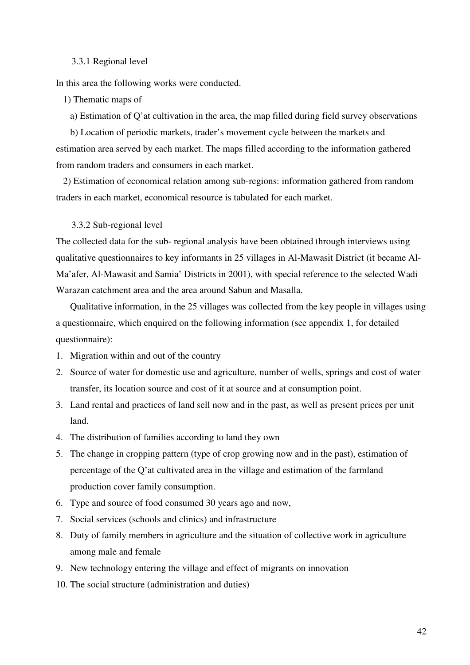### 3.3.1 Regional level

In this area the following works were conducted.

1) Thematic maps of

a) Estimation of Q'at cultivation in the area, the map filled during field survey observations

b) Location of periodic markets, trader's movement cycle between the markets and estimation area served by each market. The maps filled according to the information gathered from random traders and consumers in each market.

2) Estimation of economical relation among sub-regions: information gathered from random traders in each market, economical resource is tabulated for each market.

3.3.2 Sub-regional level

The collected data for the sub- regional analysis have been obtained through interviews using qualitative questionnaires to key informants in 25 villages in Al-Mawasit District (it became Al-Ma'afer, Al-Mawasit and Samia' Districts in 2001), with special reference to the selected Wadi Warazan catchment area and the area around Sabun and Masalla.

Qualitative information, in the 25 villages was collected from the key people in villages using a questionnaire, which enquired on the following information (see appendix 1, for detailed questionnaire):

- 1. Migration within and out of the country
- 2. Source of water for domestic use and agriculture, number of wells, springs and cost of water transfer, its location source and cost of it at source and at consumption point.
- 3. Land rental and practices of land sell now and in the past, as well as present prices per unit land.
- 4. The distribution of families according to land they own
- 5. The change in cropping pattern (type of crop growing now and in the past), estimation of percentage of the Q'at cultivated area in the village and estimation of the farmland production cover family consumption.
- 6. Type and source of food consumed 30 years ago and now,
- 7. Social services (schools and clinics) and infrastructure
- 8. Duty of family members in agriculture and the situation of collective work in agriculture among male and female
- 9. New technology entering the village and effect of migrants on innovation
- 10. The social structure (administration and duties)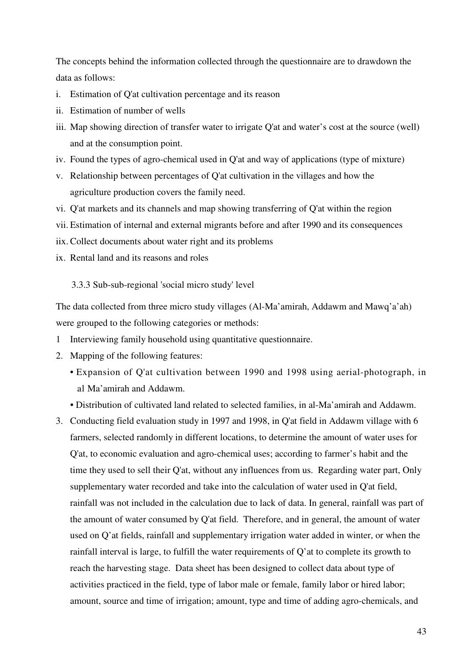The concepts behind the information collected through the questionnaire are to drawdown the data as follows:

- i. Estimation of Q'at cultivation percentage and its reason
- ii. Estimation of number of wells
- iii. Map showing direction of transfer water to irrigate Q'at and water's cost at the source (well) and at the consumption point.
- iv. Found the types of agro-chemical used in Q'at and way of applications (type of mixture)
- v. Relationship between percentages of Q'at cultivation in the villages and how the agriculture production covers the family need.
- vi. Q'at markets and its channels and map showing transferring of Q'at within the region
- vii. Estimation of internal and external migrants before and after 1990 and its consequences
- iix. Collect documents about water right and its problems
- ix. Rental land and its reasons and roles

3.3.3 Sub-sub-regional 'social micro study' level

The data collected from three micro study villages (Al-Ma'amirah, Addawm and Mawq'a'ah) were grouped to the following categories or methods:

- 1 Interviewing family household using quantitative questionnaire.
- 2. Mapping of the following features:
	- Expansion of Q'at cultivation between 1990 and 1998 using aerial-photograph, in al Ma'amirah and Addawm.
	- Distribution of cultivated land related to selected families, in al-Ma'amirah and Addawm.
- 3. Conducting field evaluation study in 1997 and 1998, in Q'at field in Addawm village with 6 farmers, selected randomly in different locations, to determine the amount of water uses for Q'at, to economic evaluation and agro-chemical uses; according to farmer's habit and the time they used to sell their Q'at, without any influences from us. Regarding water part, Only supplementary water recorded and take into the calculation of water used in Q'at field, rainfall was not included in the calculation due to lack of data. In general, rainfall was part of the amount of water consumed by Q'at field. Therefore, and in general, the amount of water used on Q'at fields, rainfall and supplementary irrigation water added in winter, or when the rainfall interval is large, to fulfill the water requirements of Q'at to complete its growth to reach the harvesting stage. Data sheet has been designed to collect data about type of activities practiced in the field, type of labor male or female, family labor or hired labor; amount, source and time of irrigation; amount, type and time of adding agro-chemicals, and